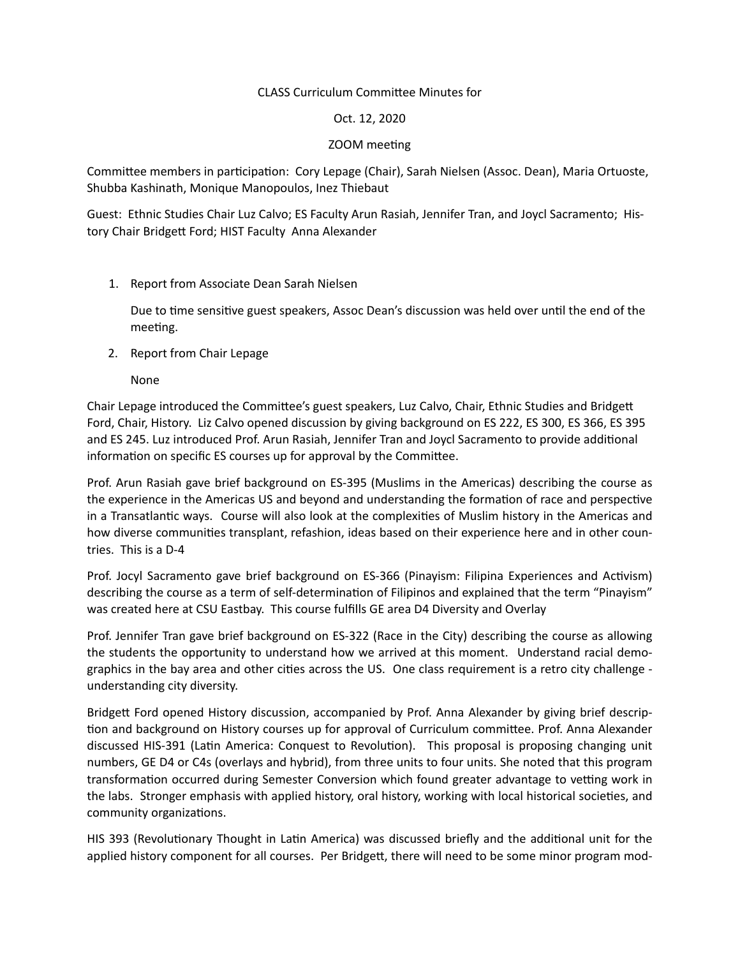## CLASS Curriculum Committee Minutes for

#### Oct. 12, 2020

#### ZOOM meeting

Committee members in participation: Cory Lepage (Chair), Sarah Nielsen (Assoc. Dean), Maria Ortuoste, Shubba Kashinath, Monique Manopoulos, Inez Thiebaut

Guest: Ethnic Studies Chair Luz Calvo; ES Faculty Arun Rasiah, Jennifer Tran, and Joycl Sacramento; History Chair Bridgett Ford; HIST Faculty Anna Alexander

## 1. Report from Associate Dean Sarah Nielsen

Due to time sensitive guest speakers, Assoc Dean's discussion was held over until the end of the meeting.

2. Report from Chair Lepage

None

Chair Lepage introduced the Committee's guest speakers, Luz Calvo, Chair, Ethnic Studies and Bridgett Ford, Chair, History. Liz Calvo opened discussion by giving background on ES 222, ES 300, ES 366, ES 395 and ES 245. Luz introduced Prof. Arun Rasiah, Jennifer Tran and Joycl Sacramento to provide additional information on specific ES courses up for approval by the Committee.

Prof. Arun Rasiah gave brief background on ES-395 (Muslims in the Americas) describing the course as the experience in the Americas US and beyond and understanding the formation of race and perspective in a Transatlantic ways. Course will also look at the complexities of Muslim history in the Americas and how diverse communities transplant, refashion, ideas based on their experience here and in other countries. This is a D-4

Prof. Jocyl Sacramento gave brief background on ES-366 (Pinayism: Filipina Experiences and Activism) describing the course as a term of self-determination of Filipinos and explained that the term "Pinayism" was created here at CSU Eastbay. This course fulfills GE area D4 Diversity and Overlay

Prof. Jennifer Tran gave brief background on ES-322 (Race in the City) describing the course as allowing the students the opportunity to understand how we arrived at this moment. Understand racial demographics in the bay area and other cities across the US. One class requirement is a retro city challenge understanding city diversity.

Bridgett Ford opened History discussion, accompanied by Prof. Anna Alexander by giving brief description and background on History courses up for approval of Curriculum committee. Prof. Anna Alexander discussed HIS-391 (Latin America: Conquest to Revolution). This proposal is proposing changing unit numbers, GE D4 or C4s (overlays and hybrid), from three units to four units. She noted that this program transformation occurred during Semester Conversion which found greater advantage to vetting work in the labs. Stronger emphasis with applied history, oral history, working with local historical societies, and community organizations.

HIS 393 (Revolutionary Thought in Latin America) was discussed briefly and the additional unit for the applied history component for all courses. Per Bridgett, there will need to be some minor program mod-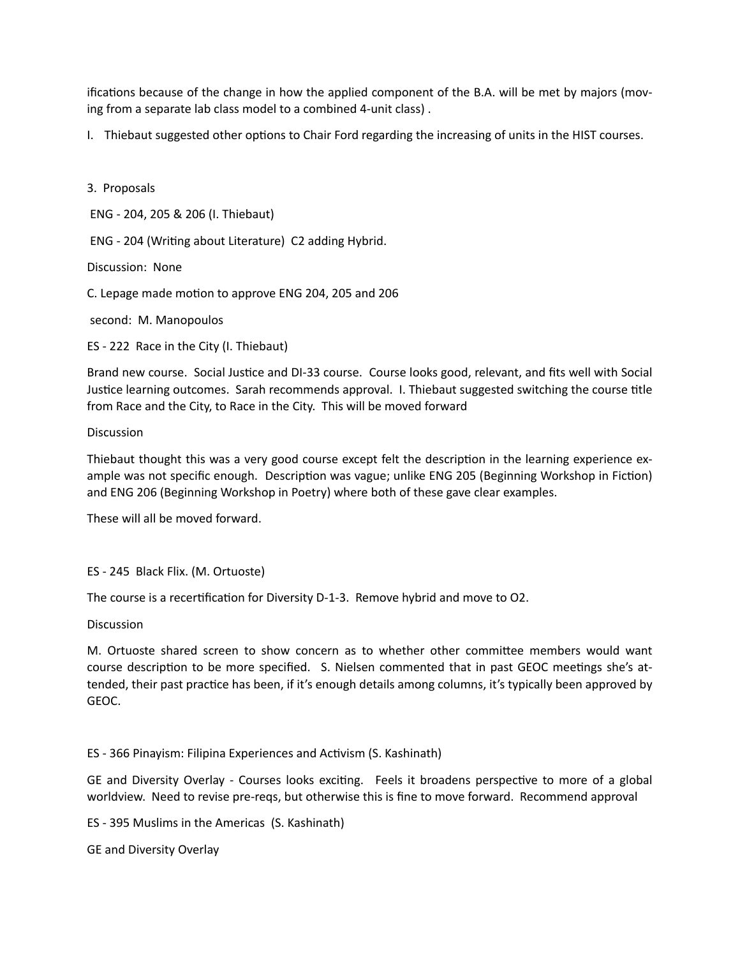ifications because of the change in how the applied component of the B.A. will be met by majors (moving from a separate lab class model to a combined 4-unit class) .

I. Thiebaut suggested other options to Chair Ford regarding the increasing of units in the HIST courses.

# 3. Proposals

ENG - 204, 205 & 206 (I. Thiebaut)

ENG - 204 (Writing about Literature) C2 adding Hybrid.

Discussion: None

C. Lepage made motion to approve ENG 204, 205 and 206

second: M. Manopoulos

ES - 222 Race in the City (I. Thiebaut)

Brand new course. Social Justice and DI-33 course. Course looks good, relevant, and fits well with Social Justice learning outcomes. Sarah recommends approval. I. Thiebaut suggested switching the course title from Race and the City, to Race in the City. This will be moved forward

## **Discussion**

Thiebaut thought this was a very good course except felt the description in the learning experience example was not specific enough. Description was vague; unlike ENG 205 (Beginning Workshop in Fiction) and ENG 206 (Beginning Workshop in Poetry) where both of these gave clear examples.

These will all be moved forward.

# ES - 245 Black Flix. (M. Ortuoste)

The course is a recertification for Diversity D-1-3. Remove hybrid and move to O2.

Discussion

M. Ortuoste shared screen to show concern as to whether other committee members would want course description to be more specified. S. Nielsen commented that in past GEOC meetings she's attended, their past practice has been, if it's enough details among columns, it's typically been approved by GEOC.

# ES - 366 Pinayism: Filipina Experiences and Activism (S. Kashinath)

GE and Diversity Overlay - Courses looks exciting. Feels it broadens perspective to more of a global worldview. Need to revise pre-reqs, but otherwise this is fine to move forward. Recommend approval

ES - 395 Muslims in the Americas (S. Kashinath)

GE and Diversity Overlay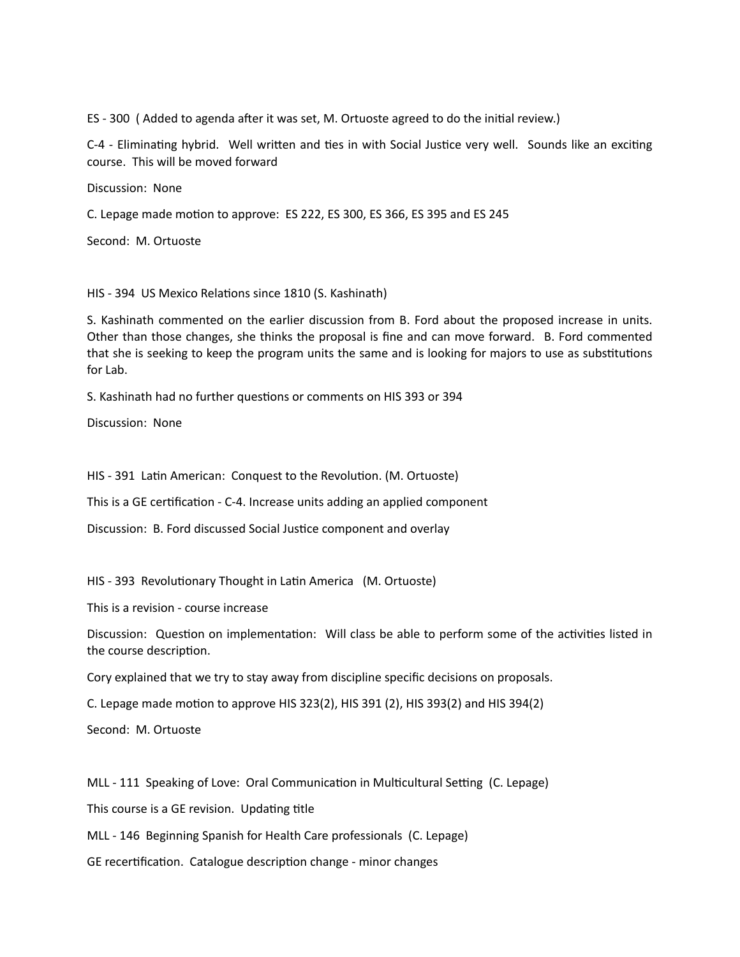ES - 300 ( Added to agenda after it was set, M. Ortuoste agreed to do the initial review.)

C-4 - Eliminating hybrid. Well written and ties in with Social Justice very well. Sounds like an exciting course. This will be moved forward

Discussion: None

C. Lepage made motion to approve: ES 222, ES 300, ES 366, ES 395 and ES 245

Second: M. Ortuoste

HIS - 394 US Mexico Relations since 1810 (S. Kashinath)

S. Kashinath commented on the earlier discussion from B. Ford about the proposed increase in units. Other than those changes, she thinks the proposal is fine and can move forward. B. Ford commented that she is seeking to keep the program units the same and is looking for majors to use as substitutions for Lab.

S. Kashinath had no further questions or comments on HIS 393 or 394

Discussion: None

HIS - 391 Latin American: Conquest to the Revolution. (M. Ortuoste)

This is a GE certification - C-4. Increase units adding an applied component

Discussion: B. Ford discussed Social Justice component and overlay

HIS - 393 Revolutionary Thought in Latin America (M. Ortuoste)

This is a revision - course increase

Discussion: Question on implementation: Will class be able to perform some of the activities listed in the course description.

Cory explained that we try to stay away from discipline specific decisions on proposals.

C. Lepage made motion to approve HIS 323(2), HIS 391 (2), HIS 393(2) and HIS 394(2)

Second: M. Ortuoste

MLL - 111 Speaking of Love: Oral Communication in Multicultural Setting (C. Lepage)

This course is a GE revision. Updating title

MLL - 146 Beginning Spanish for Health Care professionals (C. Lepage)

GE recertification. Catalogue description change - minor changes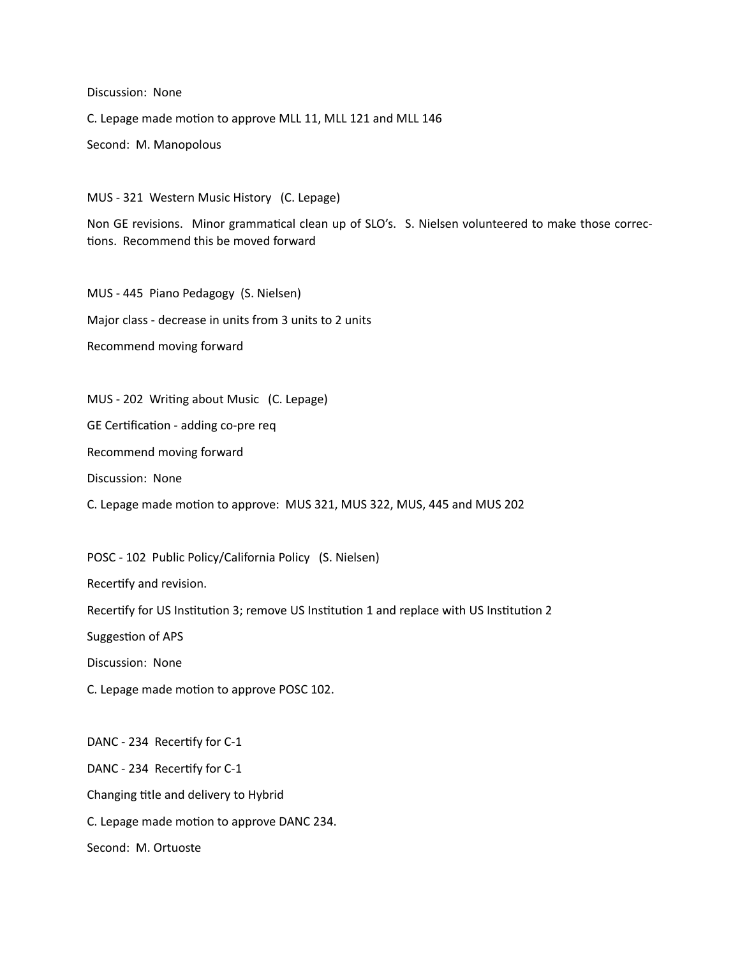Discussion: None

C. Lepage made motion to approve MLL 11, MLL 121 and MLL 146

Second: M. Manopolous

MUS - 321 Western Music History (C. Lepage)

Non GE revisions. Minor grammatical clean up of SLO's. S. Nielsen volunteered to make those corrections. Recommend this be moved forward

MUS - 445 Piano Pedagogy (S. Nielsen) Major class - decrease in units from 3 units to 2 units Recommend moving forward

MUS - 202 Writing about Music (C. Lepage)

GE Certification - adding co-pre req

Recommend moving forward

Discussion: None

C. Lepage made motion to approve: MUS 321, MUS 322, MUS, 445 and MUS 202

POSC - 102 Public Policy/California Policy (S. Nielsen)

Recertify and revision.

Recertify for US Institution 3; remove US Institution 1 and replace with US Institution 2

Suggestion of APS

Discussion: None

C. Lepage made motion to approve POSC 102.

DANC - 234 Recertify for C-1 DANC - 234 Recertify for C-1 Changing title and delivery to Hybrid C. Lepage made motion to approve DANC 234. Second: M. Ortuoste